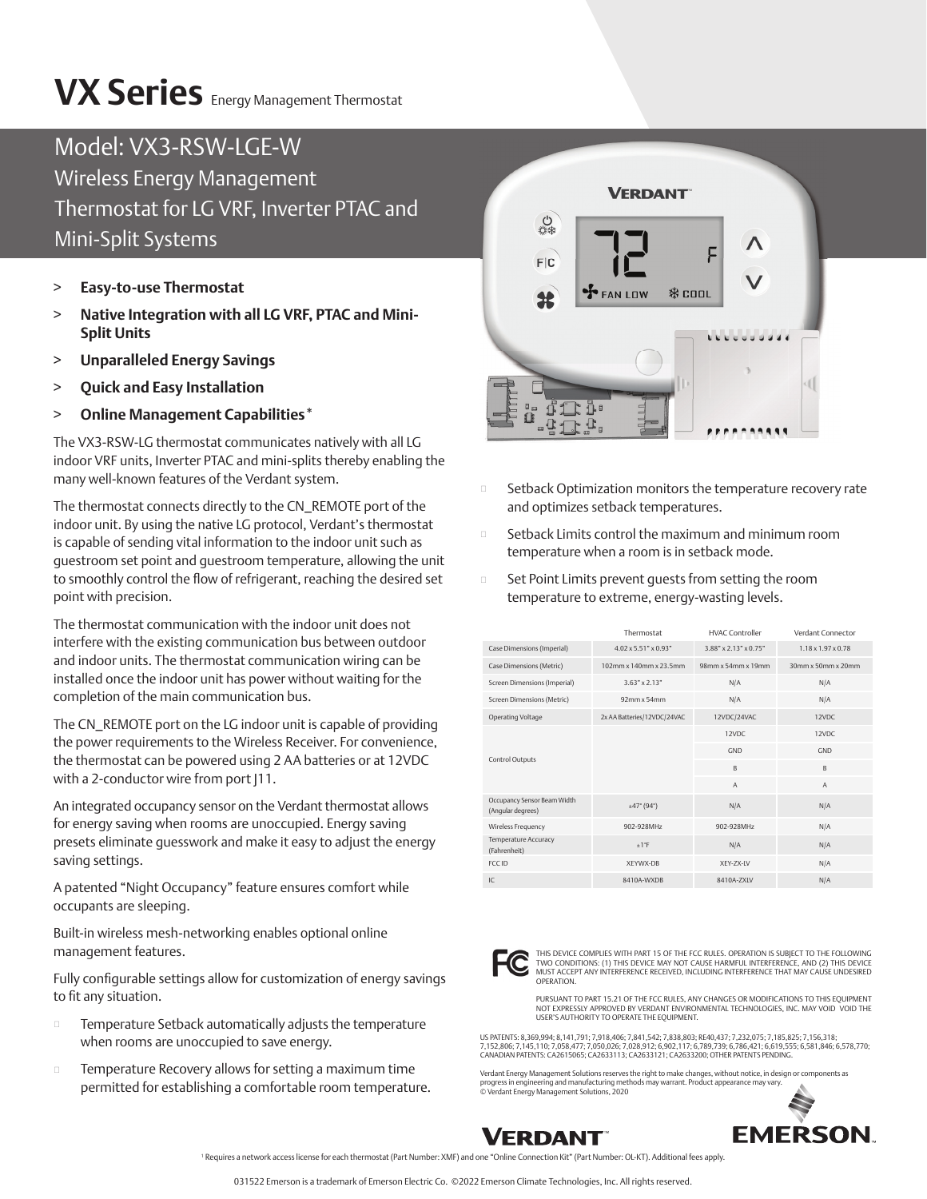## **VX Series** Energy Management Thermostat

## Model: VX3-RSW-LGE-W Wireless Energy Management Thermostat for LG VRF, Inverter PTAC and Mini-Split Systems

- > **Easy-to-use Thermostat**
- > **Native Integration with all LG VRF, PTAC and Mini-Split Units**
- > **Unparalleled Energy Savings**
- > **Quick and Easy Installation**
- > **Online Management Capabilities\***

The VX3-RSW-LG thermostat communicates natively with all LG indoor VRF units, Inverter PTAC and mini-splits thereby enabling the many well-known features of the Verdant system.

The thermostat connects directly to the CN\_REMOTE port of the indoor unit. By using the native LG protocol, Verdant's thermostat is capable of sending vital information to the indoor unit such as guestroom set point and guestroom temperature, allowing the unit to smoothly control the flow of refrigerant, reaching the desired set point with precision.

The thermostat communication with the indoor unit does not interfere with the existing communication bus between outdoor and indoor units. The thermostat communication wiring can be installed once the indoor unit has power without waiting for the completion of the main communication bus.

The CN\_REMOTE port on the LG indoor unit is capable of providing the power requirements to the Wireless Receiver. For convenience, the thermostat can be powered using 2 AA batteries or at 12VDC with a 2-conductor wire from port [11.]

An integrated occupancy sensor on the Verdant thermostat allows for energy saving when rooms are unoccupied. Energy saving presets eliminate guesswork and make it easy to adjust the energy saving settings.

A patented "Night Occupancy" feature ensures comfort while occupants are sleeping.

Built-in wireless mesh-networking enables optional online management features.

Fully configurable settings allow for customization of energy savings to fit any situation.

- $\square$  Temperature Setback automatically adjusts the temperature when rooms are unoccupied to save energy.
- **EXECOVERY EXECOVERY Allows for setting a maximum time** permitted for establishing a comfortable room temperature.



- Setback Optimization monitors the temperature recovery rate and optimizes setback temperatures.
- Setback Limits control the maximum and minimum room temperature when a room is in setback mode.
- $\square$  Set Point Limits prevent quests from setting the room temperature to extreme, energy-wasting levels.

|                                                  | Thermostat                           | <b>HVAC Controller</b>   | Verdant Connector              |
|--------------------------------------------------|--------------------------------------|--------------------------|--------------------------------|
| Case Dimensions (Imperial)                       | $4.02 \times 5.51$ " $\times 0.93$ " | $3.88''$ x 2.13" x 0.75" | $1.18 \times 1.97 \times 0.78$ |
| Case Dimensions (Metric)                         | $102$ mm x $140$ mm x $23.5$ mm      | 98mm x 54mm x 19mm       | $30$ mm x $50$ mm x $20$ mm    |
| Screen Dimensions (Imperial)                     | $3.63" \times 2.13"$                 | N/A                      | N/A                            |
| Screen Dimensions (Metric)                       | $92$ mm x 54mm                       | N/A                      | N/A                            |
| Operating Voltage                                | 2x AA Batteries/12VDC/24VAC          | 12VDC/24VAC              | 12VDC                          |
| <b>Control Outputs</b>                           |                                      | 12VDC                    | 12VDC                          |
|                                                  |                                      | <b>GND</b>               | GND                            |
|                                                  |                                      | $\mathsf{B}$             | B                              |
|                                                  |                                      | $\overline{A}$           | $\overline{A}$                 |
| Occupancy Sensor Beam Width<br>(Angular degrees) | ±47°(94°)                            | N/A                      | N/A                            |
| Wireless Frequency                               | 902-928MHz                           | 902-928MHz               | N/A                            |
| Temperature Accuracy<br>(Fahrenheit)             | $+1$ °F                              | N/A                      | N/A                            |
| <b>ECCID</b>                                     | XFYWX-DB                             | XFY-7X-IV                | N/A                            |
| IC                                               | 8410A-WXDB                           | 8410A-7XIV               | N/A                            |



THIS DEVICE COMPLIES WITH PART 15 OF THE FCC RULES. OPERATION IS SUBJECT TO THE FOLLOWING<br>TWO CONDITIONS: (1) THIS DEVICE MAY NOT CAUSE HARMFUL INTERFERENCE, AND (2) THIS DEVICE<br>MUST ACCEPT ANY INTERFERENCE RECEIVED, INCLU OPERATION.

PURSUANT TO PART 15.21 OF THE FCC RULES, ANY CHANGES OR MODIFICATIONS TO THIS EQUIPMENT NOT EXPRESSLY APPROVED BY VERDANT ENVIRONMENTAL TECHNOLOGIES, INC. MAY VOID VOID THE USER'S AUTHORITY TO OPERATE THE EQUIPMENT.

US PATENTS: 8,369,994; 8,141,791; 7,918,406; 7,841,542; 7,838,803; RE40,437; 7,232,075; 7,185,825; 7,156,318; 7,152,806; 7,145,110; 7,058,477; 7,050,026; 7,028,912; 6,902,117; 6,789,739; 6,786,421; 6,619,555; 6,581,846; 6,578,770;<br>CANADIAN PATENTS: CA2615065; CA2633113; CA2633121; CA2633200; OTHER PATENTS PENDING.

Verdant Energy Management Solutions reserves the right to make changes, without notice, in design or components as<br>progress in engineering and manufacturing methods may warrant. Product appearance may vary.<br>© Verdant Energ



**FMFRSON** 

1 Requires a network access license for each thermostat (Part Number: XMF) and one "Online Connection Kit" (Part Number: OL-KT). Additional fees apply.